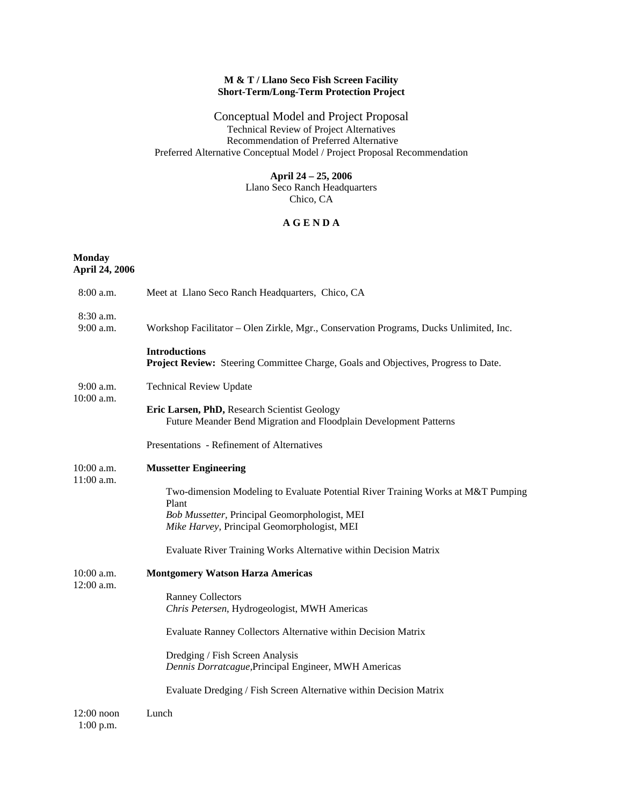# **M & T / Llano Seco Fish Screen Facility Short-Term/Long-Term Protection Project**

# Conceptual Model and Project Proposal Technical Review of Project Alternatives Recommendation of Preferred Alternative Preferred Alternative Conceptual Model / Project Proposal Recommendation

# **April 24 – 25, 2006**

Llano Seco Ranch Headquarters Chico, CA

### **A G E N D A**

#### **Monday April 24, 2006**

| 8:00 a.m.                   | Meet at Llano Seco Ranch Headquarters, Chico, CA                                                                  |  |  |
|-----------------------------|-------------------------------------------------------------------------------------------------------------------|--|--|
| 8:30 a.m.<br>9:00 a.m.      | Workshop Facilitator - Olen Zirkle, Mgr., Conservation Programs, Ducks Unlimited, Inc.                            |  |  |
|                             | <b>Introductions</b><br>Project Review: Steering Committee Charge, Goals and Objectives, Progress to Date.        |  |  |
| 9:00 a.m.<br>10:00 a.m.     | <b>Technical Review Update</b>                                                                                    |  |  |
|                             | Eric Larsen, PhD, Research Scientist Geology<br>Future Meander Bend Migration and Floodplain Development Patterns |  |  |
|                             | Presentations - Refinement of Alternatives                                                                        |  |  |
| 10:00 a.m.<br>11:00 a.m.    | <b>Mussetter Engineering</b>                                                                                      |  |  |
|                             | Two-dimension Modeling to Evaluate Potential River Training Works at M&T Pumping<br>Plant                         |  |  |
|                             | Bob Mussetter, Principal Geomorphologist, MEI<br>Mike Harvey, Principal Geomorphologist, MEI                      |  |  |
|                             | Evaluate River Training Works Alternative within Decision Matrix                                                  |  |  |
| 10:00 a.m.<br>12:00 a.m.    | <b>Montgomery Watson Harza Americas</b>                                                                           |  |  |
|                             | <b>Ranney Collectors</b><br>Chris Petersen, Hydrogeologist, MWH Americas                                          |  |  |
|                             | Evaluate Ranney Collectors Alternative within Decision Matrix                                                     |  |  |
|                             | Dredging / Fish Screen Analysis<br>Dennis Dorratcague, Principal Engineer, MWH Americas                           |  |  |
|                             | Evaluate Dredging / Fish Screen Alternative within Decision Matrix                                                |  |  |
| $12:00$ noon<br>$1:00$ p.m. | Lunch                                                                                                             |  |  |